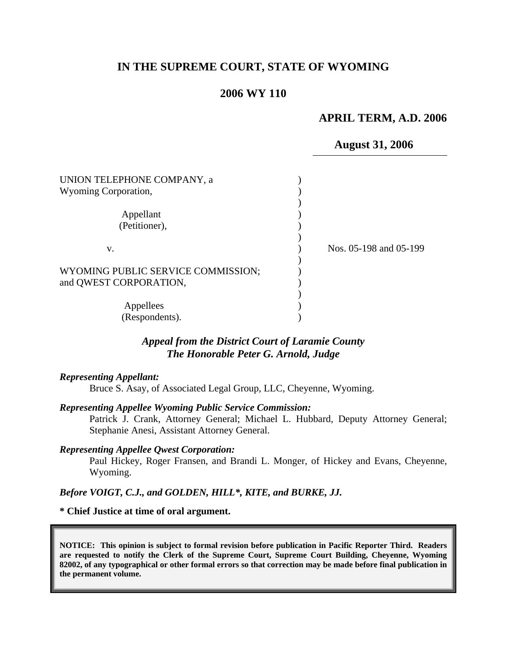## **IN THE SUPREME COURT, STATE OF WYOMING**

### **2006 WY 110**

#### **APRIL TERM, A.D. 2006**

#### **August 31, 2006**

| UNION TELEPHONE COMPANY, a<br>Wyoming Corporation, |                        |
|----------------------------------------------------|------------------------|
|                                                    |                        |
| Appellant                                          |                        |
| (Petitioner),                                      |                        |
|                                                    |                        |
| V.                                                 | Nos. 05-198 and 05-199 |
|                                                    |                        |
| WYOMING PUBLIC SERVICE COMMISSION;                 |                        |
| and QWEST CORPORATION,                             |                        |
|                                                    |                        |
| Appellees                                          |                        |
| (Respondents).                                     |                        |

## *Appeal from the District Court of Laramie County The Honorable Peter G. Arnold, Judge*

#### *Representing Appellant:*

Bruce S. Asay, of Associated Legal Group, LLC, Cheyenne, Wyoming.

#### *Representing Appellee Wyoming Public Service Commission:*

Patrick J. Crank, Attorney General; Michael L. Hubbard, Deputy Attorney General; Stephanie Anesi, Assistant Attorney General.

#### *Representing Appellee Qwest Corporation:*

Paul Hickey, Roger Fransen, and Brandi L. Monger, of Hickey and Evans, Cheyenne, Wyoming.

### *Before VOIGT, C.J., and GOLDEN, HILL\*, KITE, and BURKE, JJ.*

#### **\* Chief Justice at time of oral argument.**

**NOTICE: This opinion is subject to formal revision before publication in Pacific Reporter Third. Readers are requested to notify the Clerk of the Supreme Court, Supreme Court Building, Cheyenne, Wyoming 82002, of any typographical or other formal errors so that correction may be made before final publication in the permanent volume.**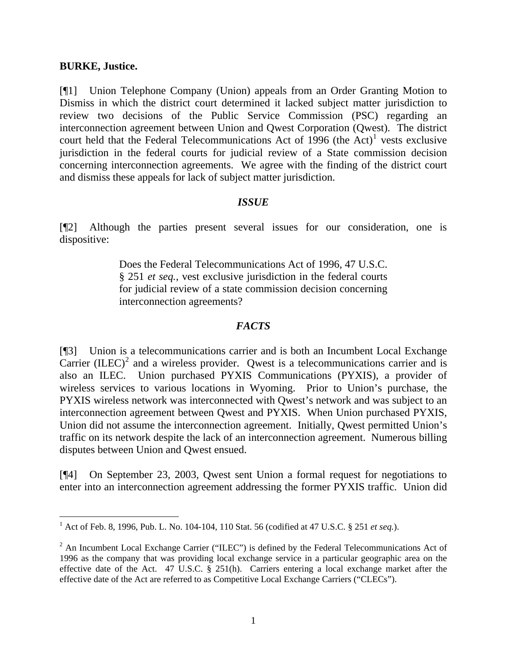### **BURKE, Justice.**

[¶1] Union Telephone Company (Union) appeals from an Order Granting Motion to Dismiss in which the district court determined it lacked subject matter jurisdiction to review two decisions of the Public Service Commission (PSC) regarding an interconnection agreement between Union and Qwest Corporation (Qwest). The district court held that the Federal Telecommunications Act of  $1996$  $1996$  (the Act)<sup>1</sup> vests exclusive jurisdiction in the federal courts for judicial review of a State commission decision concerning interconnection agreements. We agree with the finding of the district court and dismiss these appeals for lack of subject matter jurisdiction.

## *ISSUE*

[¶2] Although the parties present several issues for our consideration, one is dispositive:

> Does the Federal Telecommunications Act of 1996, 47 U.S.C. § 251 *et seq.*, vest exclusive jurisdiction in the federal courts for judicial review of a state commission decision concerning interconnection agreements?

## *FACTS*

[¶3] Union is a telecommunications carrier and is both an Incumbent Local Exchange Carrier  $(ILEC)<sup>2</sup>$  $(ILEC)<sup>2</sup>$  $(ILEC)<sup>2</sup>$  and a wireless provider. Qwest is a telecommunications carrier and is also an ILEC. Union purchased PYXIS Communications (PYXIS), a provider of wireless services to various locations in Wyoming. Prior to Union's purchase, the PYXIS wireless network was interconnected with Qwest's network and was subject to an interconnection agreement between Qwest and PYXIS. When Union purchased PYXIS, Union did not assume the interconnection agreement. Initially, Qwest permitted Union's traffic on its network despite the lack of an interconnection agreement. Numerous billing disputes between Union and Qwest ensued.

[¶4] On September 23, 2003, Qwest sent Union a formal request for negotiations to enter into an interconnection agreement addressing the former PYXIS traffic. Union did

<span id="page-1-0"></span> 1 Act of Feb. 8, 1996, Pub. L. No. 104-104, 110 Stat. 56 (codified at 47 U.S.C. § 251 *et seq.*).

<span id="page-1-1"></span> $2$  An Incumbent Local Exchange Carrier ("ILEC") is defined by the Federal Telecommunications Act of 1996 as the company that was providing local exchange service in a particular geographic area on the effective date of the Act. 47 U.S.C. § 251(h). Carriers entering a local exchange market after the effective date of the Act are referred to as Competitive Local Exchange Carriers ("CLECs").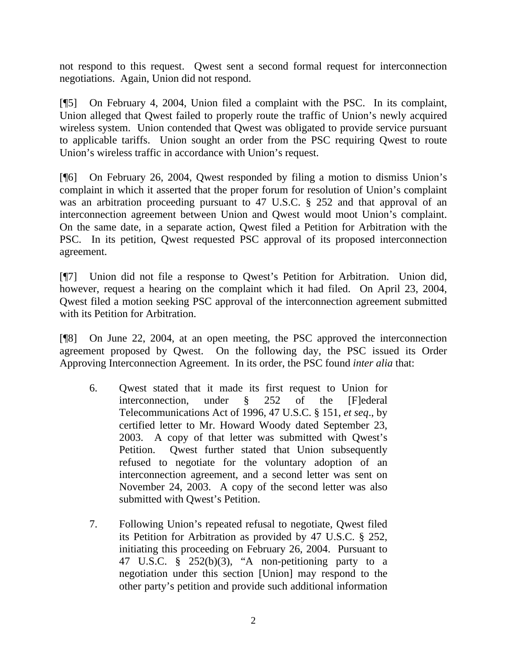not respond to this request. Qwest sent a second formal request for interconnection negotiations. Again, Union did not respond.

[¶5] On February 4, 2004, Union filed a complaint with the PSC. In its complaint, Union alleged that Qwest failed to properly route the traffic of Union's newly acquired wireless system. Union contended that Qwest was obligated to provide service pursuant to applicable tariffs. Union sought an order from the PSC requiring Qwest to route Union's wireless traffic in accordance with Union's request.

[¶6] On February 26, 2004, Qwest responded by filing a motion to dismiss Union's complaint in which it asserted that the proper forum for resolution of Union's complaint was an arbitration proceeding pursuant to 47 U.S.C. § 252 and that approval of an interconnection agreement between Union and Qwest would moot Union's complaint. On the same date, in a separate action, Qwest filed a Petition for Arbitration with the PSC. In its petition, Qwest requested PSC approval of its proposed interconnection agreement.

[¶7] Union did not file a response to Qwest's Petition for Arbitration. Union did, however, request a hearing on the complaint which it had filed. On April 23, 2004, Qwest filed a motion seeking PSC approval of the interconnection agreement submitted with its Petition for Arbitration.

[¶8] On June 22, 2004, at an open meeting, the PSC approved the interconnection agreement proposed by Qwest. On the following day, the PSC issued its Order Approving Interconnection Agreement. In its order, the PSC found *inter alia* that:

- 6. Qwest stated that it made its first request to Union for interconnection, under § 252 of the [F]ederal Telecommunications Act of 1996, 47 U.S.C. § 151, *et seq*., by certified letter to Mr. Howard Woody dated September 23, 2003. A copy of that letter was submitted with Qwest's Petition. Qwest further stated that Union subsequently refused to negotiate for the voluntary adoption of an interconnection agreement, and a second letter was sent on November 24, 2003. A copy of the second letter was also submitted with Qwest's Petition.
- 7. Following Union's repeated refusal to negotiate, Qwest filed its Petition for Arbitration as provided by 47 U.S.C. § 252, initiating this proceeding on February 26, 2004. Pursuant to 47 U.S.C. § 252(b)(3), "A non-petitioning party to a negotiation under this section [Union] may respond to the other party's petition and provide such additional information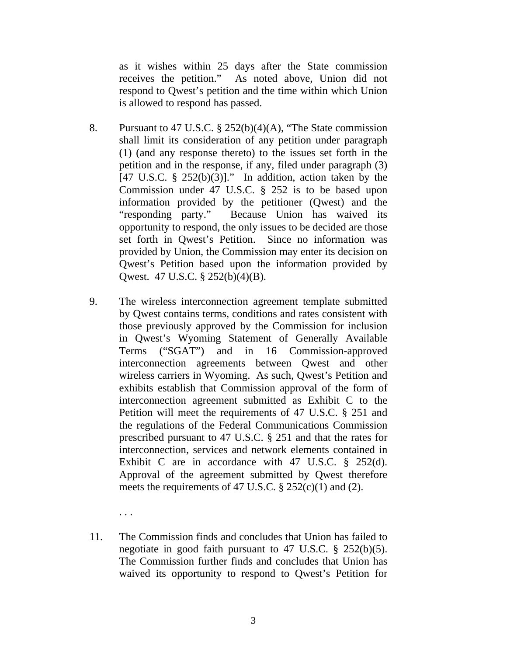as it wishes within 25 days after the State commission receives the petition." As noted above, Union did not respond to Qwest's petition and the time within which Union is allowed to respond has passed.

- 8. Pursuant to 47 U.S.C. § 252(b)(4)(A), "The State commission shall limit its consideration of any petition under paragraph (1) (and any response thereto) to the issues set forth in the petition and in the response, if any, filed under paragraph (3) [47 U.S.C.  $\S$  252(b)(3)]." In addition, action taken by the Commission under 47 U.S.C. § 252 is to be based upon information provided by the petitioner (Qwest) and the "responding party." Because Union has waived its opportunity to respond, the only issues to be decided are those set forth in Qwest's Petition. Since no information was provided by Union, the Commission may enter its decision on Qwest's Petition based upon the information provided by Qwest. 47 U.S.C. § 252(b)(4)(B).
- 9. The wireless interconnection agreement template submitted by Qwest contains terms, conditions and rates consistent with those previously approved by the Commission for inclusion in Qwest's Wyoming Statement of Generally Available Terms ("SGAT") and in 16 Commission-approved interconnection agreements between Qwest and other wireless carriers in Wyoming. As such, Qwest's Petition and exhibits establish that Commission approval of the form of interconnection agreement submitted as Exhibit C to the Petition will meet the requirements of 47 U.S.C. § 251 and the regulations of the Federal Communications Commission prescribed pursuant to 47 U.S.C. § 251 and that the rates for interconnection, services and network elements contained in Exhibit C are in accordance with 47 U.S.C. § 252(d). Approval of the agreement submitted by Qwest therefore meets the requirements of 47 U.S.C.  $\S 252(c)(1)$  and (2).
	- . . .
- 11. The Commission finds and concludes that Union has failed to negotiate in good faith pursuant to 47 U.S.C. § 252(b)(5). The Commission further finds and concludes that Union has waived its opportunity to respond to Qwest's Petition for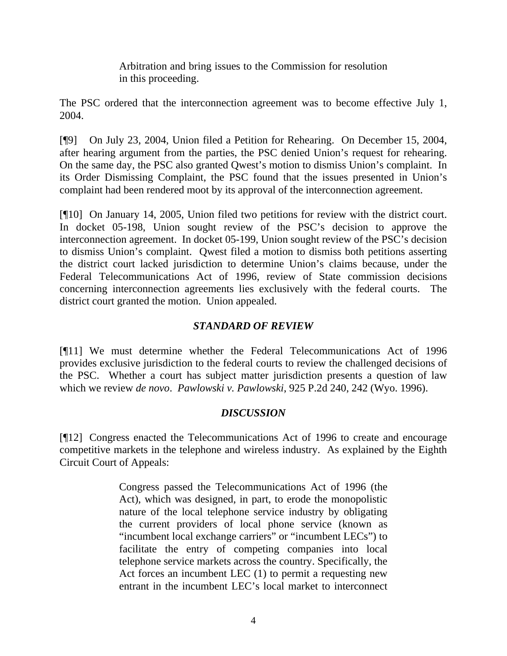Arbitration and bring issues to the Commission for resolution in this proceeding.

The PSC ordered that the interconnection agreement was to become effective July 1, 2004.

[¶9] On July 23, 2004, Union filed a Petition for Rehearing. On December 15, 2004, after hearing argument from the parties, the PSC denied Union's request for rehearing. On the same day, the PSC also granted Qwest's motion to dismiss Union's complaint. In its Order Dismissing Complaint, the PSC found that the issues presented in Union's complaint had been rendered moot by its approval of the interconnection agreement.

[¶10] On January 14, 2005, Union filed two petitions for review with the district court. In docket 05-198, Union sought review of the PSC's decision to approve the interconnection agreement. In docket 05-199, Union sought review of the PSC's decision to dismiss Union's complaint. Qwest filed a motion to dismiss both petitions asserting the district court lacked jurisdiction to determine Union's claims because, under the Federal Telecommunications Act of 1996, review of State commission decisions concerning interconnection agreements lies exclusively with the federal courts. The district court granted the motion. Union appealed.

# *STANDARD OF REVIEW*

[¶11] We must determine whether the Federal Telecommunications Act of 1996 provides exclusive jurisdiction to the federal courts to review the challenged decisions of the PSC. Whether a court has subject matter jurisdiction presents a question of law which we review *de novo*. *Pawlowski v. Pawlowski*, 925 P.2d 240, 242 (Wyo. 1996).

# *DISCUSSION*

[¶12] Congress enacted the Telecommunications Act of 1996 to create and encourage competitive markets in the telephone and wireless industry. As explained by the Eighth Circuit Court of Appeals:

> Congress passed the Telecommunications Act of 1996 (the Act), which was designed, in part, to erode the monopolistic nature of the local telephone service industry by obligating the current providers of local phone service (known as "incumbent local exchange carriers" or "incumbent LECs") to facilitate the entry of competing companies into local telephone service markets across the country. Specifically, the Act forces an incumbent LEC (1) to permit a requesting new entrant in the incumbent LEC's local market to interconnect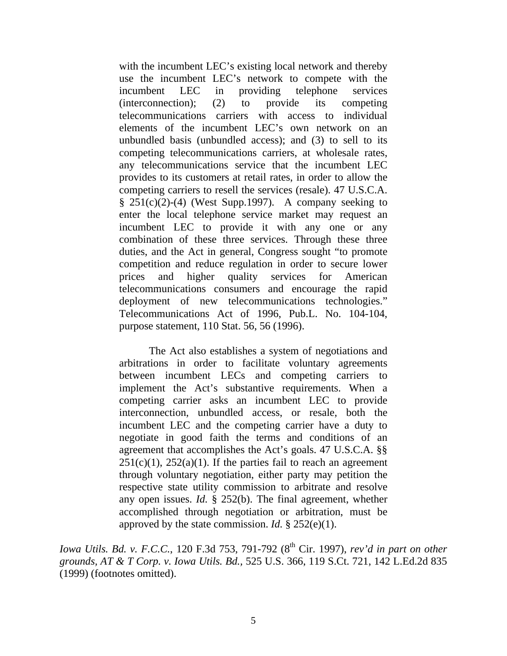with the incumbent LEC's existing local network and thereby use the incumbent LEC's network to compete with the incumbent LEC in providing telephone services (interconnection); (2) to provide its competing telecommunications carriers with access to individual elements of the incumbent LEC's own network on an unbundled basis (unbundled access); and (3) to sell to its competing telecommunications carriers, at wholesale rates, any telecommunications service that the incumbent LEC provides to its customers at retail rates, in order to allow the competing carriers to resell the services (resale). 47 U.S.C.A.  $§$  251(c)(2)-(4) (West Supp.1997). A company seeking to enter the local telephone service market may request an incumbent LEC to provide it with any one or any combination of these three services. Through these three duties, and the Act in general, Congress sought "to promote competition and reduce regulation in order to secure lower prices and higher quality services for American telecommunications consumers and encourage the rapid deployment of new telecommunications technologies." Telecommunications Act of 1996, Pub.L. No. 104-104, purpose statement, 110 Stat. 56, 56 (1996).

The Act also establishes a system of negotiations and arbitrations in order to facilitate voluntary agreements between incumbent LECs and competing carriers to implement the Act's substantive requirements. When a competing carrier asks an incumbent LEC to provide interconnection, unbundled access, or resale, both the incumbent LEC and the competing carrier have a duty to negotiate in good faith the terms and conditions of an agreement that accomplishes the Act's goals. 47 U.S.C.A. §§  $251(c)(1)$ ,  $252(a)(1)$ . If the parties fail to reach an agreement through voluntary negotiation, either party may petition the respective state utility commission to arbitrate and resolve any open issues. *Id.* § 252(b). The final agreement, whether accomplished through negotiation or arbitration, must be approved by the state commission. *Id.* § 252(e)(1).

*Iowa Utils. Bd. v. F.C.C.*, 120 F.3d 753, 791-792 (8<sup>th</sup> Cir. 1997), *rev'd in part on other grounds, AT & T Corp. v. Iowa Utils. Bd.,* 525 U.S. 366, 119 S.Ct. 721, 142 L.Ed.2d 835 (1999) (footnotes omitted).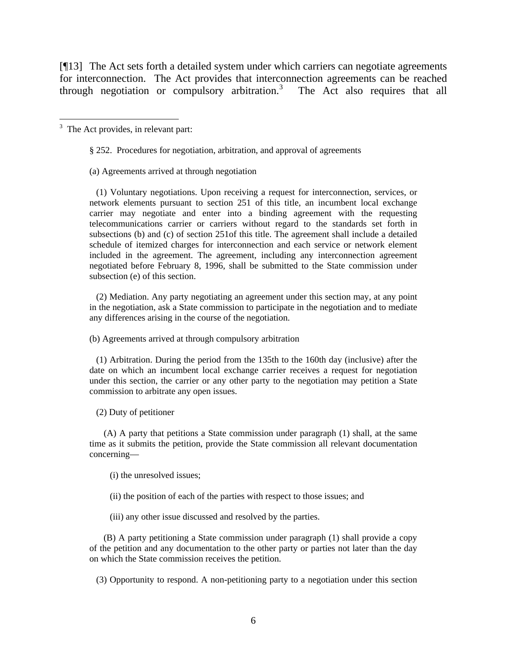[¶13] The Act sets forth a detailed system under which carriers can negotiate agreements for interconnection. The Act provides that interconnection agreements can be reached through negotiation or compulsory arbitration. $3$ The Act also requires that all

<span id="page-6-0"></span><sup>3</sup> The Act provides, in relevant part:

§ 252. Procedures for negotiation, arbitration, and approval of agreements

(a) Agreements arrived at through negotiation

 (1) Voluntary negotiations. Upon receiving a request for interconnection, services, or network elements pursuant to section 251 of this title, an incumbent local exchange carrier may negotiate and enter into a binding agreement with the requesting telecommunications carrier or carriers without regard to the standards set forth in subsections (b) and (c) of section 251of this title. The agreement shall include a detailed schedule of itemized charges for interconnection and each service or network element included in the agreement. The agreement, including any interconnection agreement negotiated before February 8, 1996, shall be submitted to the State commission under subsection (e) of this section.

 (2) Mediation. Any party negotiating an agreement under this section may, at any point in the negotiation, ask a State commission to participate in the negotiation and to mediate any differences arising in the course of the negotiation.

(b) Agreements arrived at through compulsory arbitration

 (1) Arbitration. During the period from the 135th to the 160th day (inclusive) after the date on which an incumbent local exchange carrier receives a request for negotiation under this section, the carrier or any other party to the negotiation may petition a State commission to arbitrate any open issues.

(2) Duty of petitioner

 (A) A party that petitions a State commission under paragraph (1) shall, at the same time as it submits the petition, provide the State commission all relevant documentation concerning—

(i) the unresolved issues;

(ii) the position of each of the parties with respect to those issues; and

(iii) any other issue discussed and resolved by the parties.

 (B) A party petitioning a State commission under paragraph (1) shall provide a copy of the petition and any documentation to the other party or parties not later than the day on which the State commission receives the petition.

(3) Opportunity to respond. A non-petitioning party to a negotiation under this section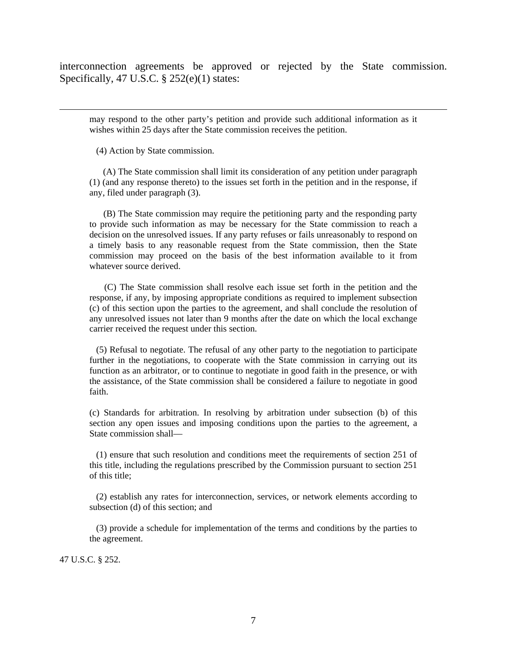interconnection agreements be approved or rejected by the State commission. Specifically, 47 U.S.C. § 252(e)(1) states:

may respond to the other party's petition and provide such additional information as it wishes within 25 days after the State commission receives the petition.

(4) Action by State commission.

 $\overline{a}$ 

 (A) The State commission shall limit its consideration of any petition under paragraph (1) (and any response thereto) to the issues set forth in the petition and in the response, if any, filed under paragraph (3).

 (B) The State commission may require the petitioning party and the responding party to provide such information as may be necessary for the State commission to reach a decision on the unresolved issues. If any party refuses or fails unreasonably to respond on a timely basis to any reasonable request from the State commission, then the State commission may proceed on the basis of the best information available to it from whatever source derived.

 (C) The State commission shall resolve each issue set forth in the petition and the response, if any, by imposing appropriate conditions as required to implement subsection (c) of this section upon the parties to the agreement, and shall conclude the resolution of any unresolved issues not later than 9 months after the date on which the local exchange carrier received the request under this section.

 (5) Refusal to negotiate. The refusal of any other party to the negotiation to participate further in the negotiations, to cooperate with the State commission in carrying out its function as an arbitrator, or to continue to negotiate in good faith in the presence, or with the assistance, of the State commission shall be considered a failure to negotiate in good faith.

(c) Standards for arbitration. In resolving by arbitration under subsection (b) of this section any open issues and imposing conditions upon the parties to the agreement, a State commission shall—

 (1) ensure that such resolution and conditions meet the requirements of section 251 of this title, including the regulations prescribed by the Commission pursuant to section 251 of this title;

 (2) establish any rates for interconnection, services, or network elements according to subsection (d) of this section; and

 (3) provide a schedule for implementation of the terms and conditions by the parties to the agreement.

47 U.S.C. § 252.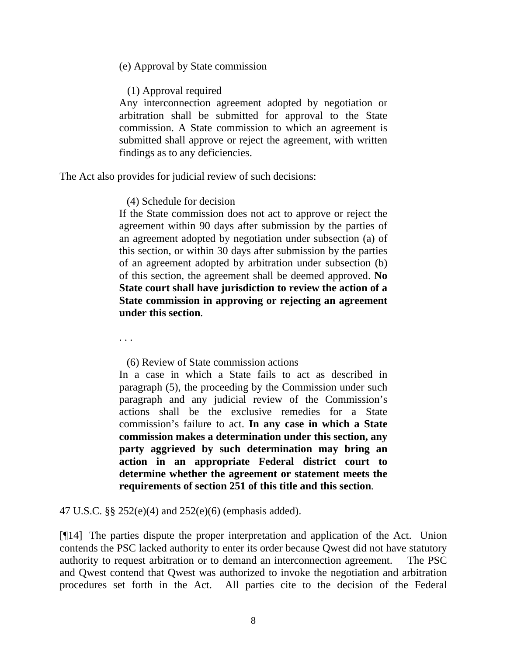(e) Approval by State commission

(1) Approval required

Any interconnection agreement adopted by negotiation or arbitration shall be submitted for approval to the State commission. A State commission to which an agreement is submitted shall approve or reject the agreement, with written findings as to any deficiencies.

The Act also provides for judicial review of such decisions:

(4) Schedule for decision

If the State commission does not act to approve or reject the agreement within 90 days after submission by the parties of an agreement adopted by negotiation under subsection (a) of this section, or within 30 days after submission by the parties of an agreement adopted by arbitration under subsection (b) of this section, the agreement shall be deemed approved. **No State court shall have jurisdiction to review the action of a State commission in approving or rejecting an agreement under this section***.* 

. . .

(6) Review of State commission actions

In a case in which a State fails to act as described in paragraph (5), the proceeding by the Commission under such paragraph and any judicial review of the Commission's actions shall be the exclusive remedies for a State commission's failure to act. **In any case in which a State commission makes a determination under this section, any party aggrieved by such determination may bring an action in an appropriate Federal district court to determine whether the agreement or statement meets the requirements of section 251 of this title and this section***.* 

47 U.S.C. §§ 252(e)(4) and 252(e)(6) (emphasis added).

[¶14] The parties dispute the proper interpretation and application of the Act. Union contends the PSC lacked authority to enter its order because Qwest did not have statutory authority to request arbitration or to demand an interconnection agreement. The PSC and Qwest contend that Qwest was authorized to invoke the negotiation and arbitration procedures set forth in the Act. All parties cite to the decision of the Federal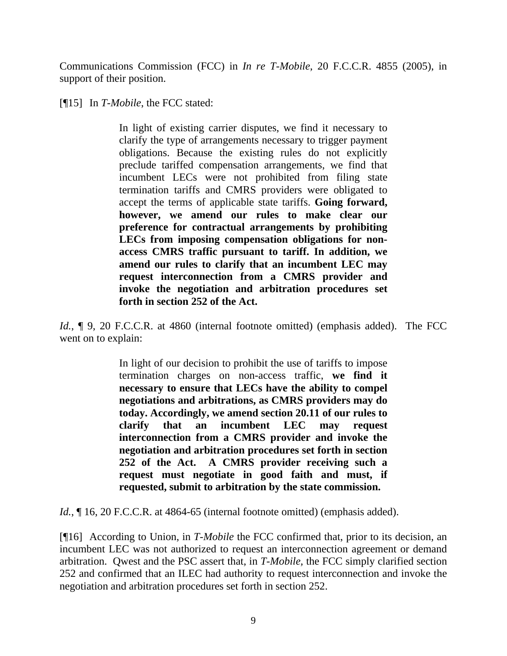Communications Commission (FCC) in *In re T-Mobile*, 20 F.C.C.R. 4855 (2005), in support of their position.

[¶15] In *T-Mobile*, the FCC stated:

In light of existing carrier disputes, we find it necessary to clarify the type of arrangements necessary to trigger payment obligations. Because the existing rules do not explicitly preclude tariffed compensation arrangements, we find that incumbent LECs were not prohibited from filing state termination tariffs and CMRS providers were obligated to accept the terms of applicable state tariffs. **Going forward, however, we amend our rules to make clear our preference for contractual arrangements by prohibiting LECs from imposing compensation obligations for nonaccess CMRS traffic pursuant to tariff. In addition, we amend our rules to clarify that an incumbent LEC may request interconnection from a CMRS provider and invoke the negotiation and arbitration procedures set forth in section 252 of the Act.** 

*Id.*, **[9.** 20 F.C.C.R. at 4860 (internal footnote omitted) (emphasis added). The FCC went on to explain:

> In light of our decision to prohibit the use of tariffs to impose termination charges on non-access traffic, **we find it necessary to ensure that LECs have the ability to compel negotiations and arbitrations, as CMRS providers may do today. Accordingly, we amend section 20.11 of our rules to clarify that an incumbent LEC may request interconnection from a CMRS provider and invoke the negotiation and arbitration procedures set forth in section 252 of the Act. A CMRS provider receiving such a request must negotiate in good faith and must, if requested, submit to arbitration by the state commission.**

*Id.*, 16, 20 F.C.C.R. at 4864-65 (internal footnote omitted) (emphasis added).

[¶16] According to Union, in *T-Mobile* the FCC confirmed that, prior to its decision, an incumbent LEC was not authorized to request an interconnection agreement or demand arbitration. Qwest and the PSC assert that, in *T-Mobile,* the FCC simply clarified section 252 and confirmed that an ILEC had authority to request interconnection and invoke the negotiation and arbitration procedures set forth in section 252.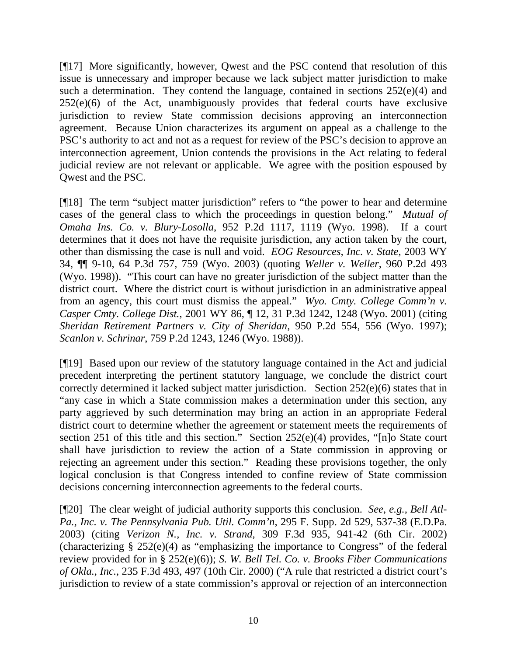[¶17] More significantly, however, Qwest and the PSC contend that resolution of this issue is unnecessary and improper because we lack subject matter jurisdiction to make such a determination. They contend the language, contained in sections  $252(e)(4)$  and 252(e)(6) of the Act, unambiguously provides that federal courts have exclusive jurisdiction to review State commission decisions approving an interconnection agreement. Because Union characterizes its argument on appeal as a challenge to the PSC's authority to act and not as a request for review of the PSC's decision to approve an interconnection agreement, Union contends the provisions in the Act relating to federal judicial review are not relevant or applicable. We agree with the position espoused by Qwest and the PSC.

[¶18] The term "subject matter jurisdiction" refers to "the power to hear and determine cases of the general class to which the proceedings in question belong." *Mutual of Omaha Ins. Co. v. Blury-Losolla*, 952 P.2d 1117, 1119 (Wyo. 1998). If a court determines that it does not have the requisite jurisdiction, any action taken by the court, other than dismissing the case is null and void. *EOG Resources, Inc. v. State*, 2003 WY 34, ¶¶ 9-10, 64 P.3d 757, 759 (Wyo. 2003) (quoting *Weller v. Weller*, 960 P.2d 493 (Wyo. 1998)). "This court can have no greater jurisdiction of the subject matter than the district court. Where the district court is without jurisdiction in an administrative appeal from an agency, this court must dismiss the appeal." *Wyo. Cmty. College Comm'n v. Casper Cmty. College Dist.*, 2001 WY 86, ¶ 12, 31 P.3d 1242, 1248 (Wyo. 2001) (citing *Sheridan Retirement Partners v. City of Sheridan*, 950 P.2d 554, 556 (Wyo. 1997); *Scanlon v. Schrinar*, 759 P.2d 1243, 1246 (Wyo. 1988)).

[¶19] Based upon our review of the statutory language contained in the Act and judicial precedent interpreting the pertinent statutory language, we conclude the district court correctly determined it lacked subject matter jurisdiction. Section 252(e)(6) states that in "any case in which a State commission makes a determination under this section, any party aggrieved by such determination may bring an action in an appropriate Federal district court to determine whether the agreement or statement meets the requirements of section 251 of this title and this section." Section 252(e)(4) provides, "[n]o State court shall have jurisdiction to review the action of a State commission in approving or rejecting an agreement under this section." Reading these provisions together, the only logical conclusion is that Congress intended to confine review of State commission decisions concerning interconnection agreements to the federal courts.

[¶20] The clear weight of judicial authority supports this conclusion. *See, e.g., Bell Atl-Pa., Inc. v. The Pennsylvania Pub. Util. Comm'n*, 295 F. Supp. 2d 529, 537-38 (E.D.Pa. 2003) (citing *Verizon N., Inc. v. Strand,* 309 F.3d 935, 941-42 (6th Cir. 2002) (characterizing  $\S 252(e)(4)$  as "emphasizing the importance to Congress" of the federal review provided for in § 252(e)(6)); *S. W. Bell Tel. Co. v. Brooks Fiber Communications of Okla., Inc.,* 235 F.3d 493, 497 (10th Cir. 2000) ("A rule that restricted a district court's jurisdiction to review of a state commission's approval or rejection of an interconnection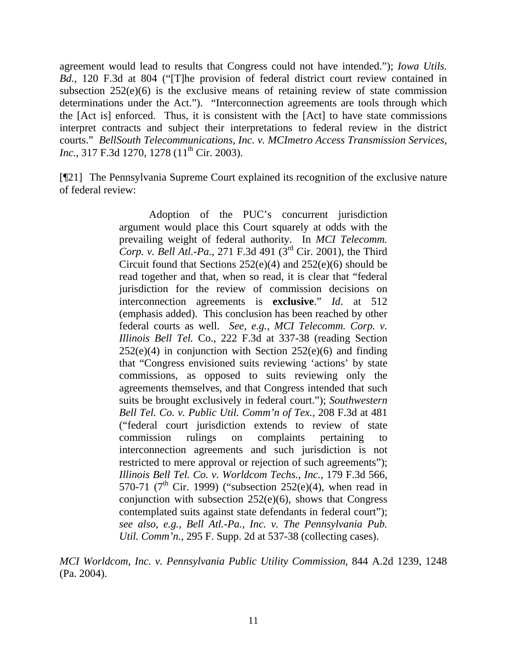agreement would lead to results that Congress could not have intended."); *Iowa Utils. Bd.,* 120 F.3d at 804 ("[T]he provision of federal district court review contained in subsection  $252(e)(6)$  is the exclusive means of retaining review of state commission determinations under the Act."). "Interconnection agreements are tools through which the [Act is] enforced. Thus, it is consistent with the [Act] to have state commissions interpret contracts and subject their interpretations to federal review in the district courts." *BellSouth Telecommunications, Inc. v. MCImetro Access Transmission Services, Inc.*, 317 F.3d 1270, 1278 (11<sup>th</sup> Cir. 2003).

[¶21] The Pennsylvania Supreme Court explained its recognition of the exclusive nature of federal review:

> Adoption of the PUC's concurrent jurisdiction argument would place this Court squarely at odds with the prevailing weight of federal authority. In *MCI Telecomm. Corp. v. Bell Atl.-Pa.*, 271 F.3d 491 (3<sup>rd</sup> Cir. 2001), the Third Circuit found that Sections 252(e)(4) and 252(e)(6) should be read together and that, when so read, it is clear that "federal jurisdiction for the review of commission decisions on interconnection agreements is **exclusive**." *Id*. at 512 (emphasis added). This conclusion has been reached by other federal courts as well. *See, e.g., MCI Telecomm. Corp. v. Illinois Bell Tel.* Co., 222 F.3d at 337-38 (reading Section  $252(e)(4)$  in conjunction with Section  $252(e)(6)$  and finding that "Congress envisioned suits reviewing 'actions' by state commissions, as opposed to suits reviewing only the agreements themselves, and that Congress intended that such suits be brought exclusively in federal court."); *Southwestern Bell Tel. Co. v. Public Util. Comm'n of Tex.,* 208 F.3d at 481 ("federal court jurisdiction extends to review of state commission rulings on complaints pertaining to interconnection agreements and such jurisdiction is not restricted to mere approval or rejection of such agreements"); *Illinois Bell Tel. Co. v. Worldcom Techs., Inc.*, 179 F.3d 566, 570-71 ( $7^{\text{th}}$  Cir. 1999) ("subsection 252(e)(4), when read in conjunction with subsection 252(e)(6), shows that Congress contemplated suits against state defendants in federal court"); *see also, e.g., Bell Atl.-Pa., Inc. v. The Pennsylvania Pub. Util. Comm'n.,* 295 F. Supp. 2d at 537-38 (collecting cases).

*MCI Worldcom, Inc. v. Pennsylvania Public Utility Commission*, 844 A.2d 1239, 1248 (Pa. 2004).